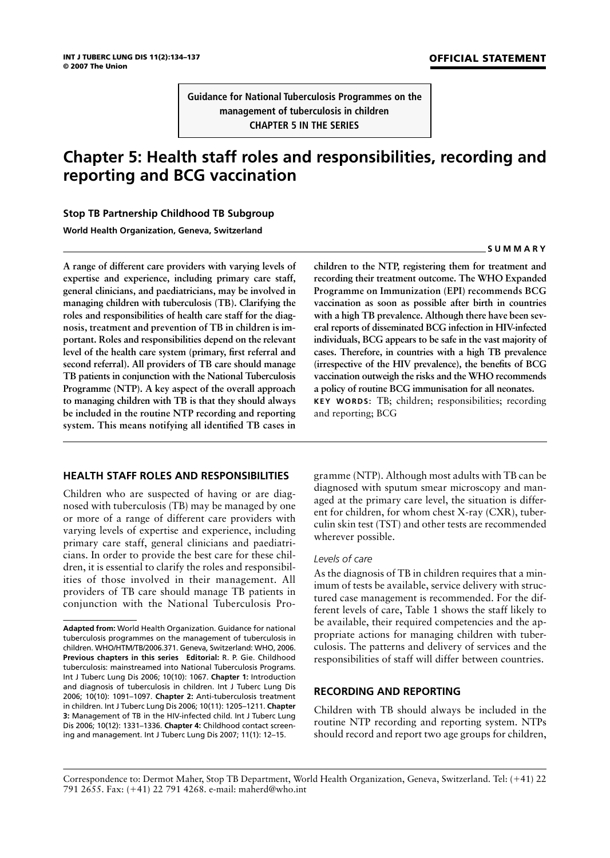**SUMMARY**

**Guidance for National Tuberculosis Programmes on the management of tuberculosis in children CHAPTER 5 IN THE SERIES**

# **Chapter 5: Health staff roles and responsibilities, recording and reporting and BCG vaccination**

# **Stop TB Partnership Childhood TB Subgroup**

**World Health Organization, Geneva, Switzerland**

**A range of different care providers with varying levels of expertise and experience, including primary care staff, general clinicians, and paediatricians, may be involved in managing children with tuberculosis (TB). Clarifying the roles and responsibilities of health care staff for the diagnosis, treatment and prevention of TB in children is important. Roles and responsibilities depend on the relevant level of the health care system (primary, first referral and second referral). All providers of TB care should manage TB patients in conjunction with the National Tuberculosis Programme (NTP). A key aspect of the overall approach to managing children with TB is that they should always be included in the routine NTP recording and reporting system. This means notifying all identified TB cases in**

# **HEALTH STAFF ROLES AND RESPONSIBILITIES**

Children who are suspected of having or are diagnosed with tuberculosis (TB) may be managed by one or more of a range of different care providers with varying levels of expertise and experience, including primary care staff, general clinicians and paediatricians. In order to provide the best care for these children, it is essential to clarify the roles and responsibilities of those involved in their management. All providers of TB care should manage TB patients in conjunction with the National Tuberculosis Pro**children to the NTP, registering them for treatment and recording their treatment outcome. The WHO Expanded Programme on Immunization (EPI) recommends BCG vaccination as soon as possible after birth in countries with a high TB prevalence. Although there have been several reports of disseminated BCG infection in HIV-infected individuals, BCG appears to be safe in the vast majority of cases. Therefore, in countries with a high TB prevalence (irrespective of the HIV prevalence), the benefits of BCG vaccination outweigh the risks and the WHO recommends a policy of routine BCG immunisation for all neonates. KEY WORDS:** TB; children; responsibilities; recording and reporting; BCG

gramme (NTP). Although most adults with TB can be diagnosed with sputum smear microscopy and managed at the primary care level, the situation is different for children, for whom chest X-ray (CXR), tuberculin skin test (TST) and other tests are recommended wherever possible.

#### *Levels of care*

As the diagnosis of TB in children requires that a minimum of tests be available, service delivery with structured case management is recommended. For the different levels of care, Table 1 shows the staff likely to be available, their required competencies and the appropriate actions for managing children with tuberculosis. The patterns and delivery of services and the responsibilities of staff will differ between countries.

# **RECORDING AND REPORTING**

Children with TB should always be included in the routine NTP recording and reporting system. NTPs should record and report two age groups for children,

Correspondence to: Dermot Maher, Stop TB Department, World Health Organization, Geneva, Switzerland. Tel: (-41) 22 791 2655. Fax: (-41) 22 791 4268. e-mail: maherd@who.int

**Adapted from:** World Health Organization. Guidance for national tuberculosis programmes on the management of tuberculosis in children. WHO/HTM/TB/2006.371. Geneva, Switzerland: WHO, 2006. **Previous chapters in this series Editorial:** R. P. Gie. Childhood tuberculosis: mainstreamed into National Tuberculosis Programs. Int J Tuberc Lung Dis 2006; 10(10): 1067. **Chapter 1:** Introduction and diagnosis of tuberculosis in children. Int J Tuberc Lung Dis 2006; 10(10): 1091–1097. **Chapter 2:** Anti-tuberculosis treatment in children. Int J Tuberc Lung Dis 2006; 10(11): 1205–1211. **Chapter 3:** Management of TB in the HIV-infected child. Int J Tuberc Lung Dis 2006; 10(12): 1331–1336. **Chapter 4:** Childhood contact screening and management. Int J Tuberc Lung Dis 2007; 11(1): 12–15.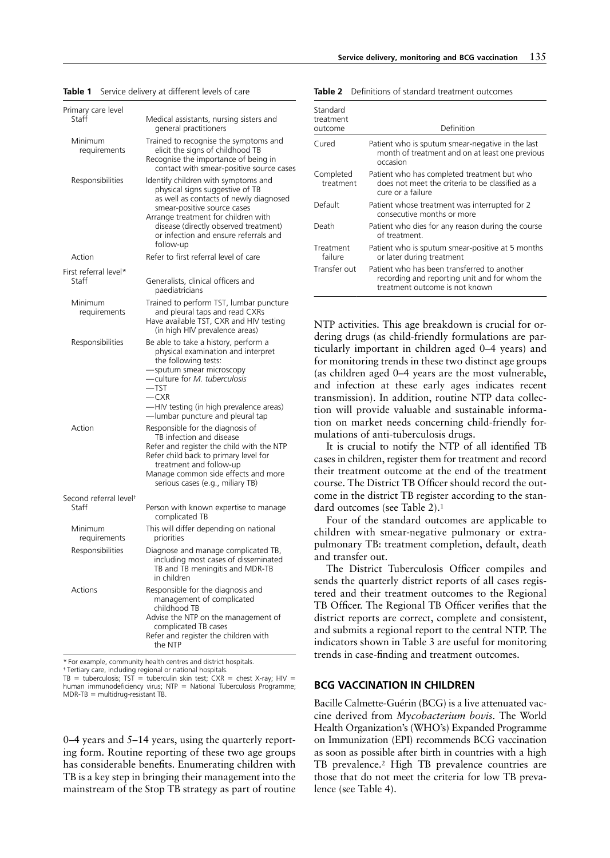| Primary care level                          |                                                                                                                                                                                                                                                                                       |
|---------------------------------------------|---------------------------------------------------------------------------------------------------------------------------------------------------------------------------------------------------------------------------------------------------------------------------------------|
| Staff                                       | Medical assistants, nursing sisters and<br>general practitioners                                                                                                                                                                                                                      |
| Minimum<br>requirements                     | Trained to recognise the symptoms and<br>elicit the signs of childhood TB<br>Recognise the importance of being in<br>contact with smear-positive source cases                                                                                                                         |
| Responsibilities                            | Identify children with symptoms and<br>physical signs suggestive of TB<br>as well as contacts of newly diagnosed<br>smear-positive source cases<br>Arrange treatment for children with<br>disease (directly observed treatment)<br>or infection and ensure referrals and<br>follow-up |
| Action                                      | Refer to first referral level of care                                                                                                                                                                                                                                                 |
| First referral level*<br>Staff              | Generalists, clinical officers and<br>paediatricians                                                                                                                                                                                                                                  |
| Minimum<br>requirements                     | Trained to perform TST, lumbar puncture<br>and pleural taps and read CXRs<br>Have available TST, CXR and HIV testing<br>(in high HIV prevalence areas)                                                                                                                                |
| Responsibilities                            | Be able to take a history, perform a<br>physical examination and interpret<br>the following tests:<br>-sputum smear microscopy<br>-culture for M. tuberculosis<br>$-$ TST<br>$-CXR$<br>-HIV testing (in high prevalence areas)<br>-lumbar puncture and pleural tap                    |
| Action                                      | Responsible for the diagnosis of<br>TB infection and disease<br>Refer and register the child with the NTP<br>Refer child back to primary level for<br>treatment and follow-up<br>Manage common side effects and more<br>serious cases (e.g., miliary TB)                              |
| Second referral level <sup>+</sup><br>Staff | Person with known expertise to manage<br>complicated TB                                                                                                                                                                                                                               |
| Minimum<br>requirements                     | This will differ depending on national<br>priorities                                                                                                                                                                                                                                  |
| Responsibilities                            | Diagnose and manage complicated TB,<br>including most cases of disseminated<br>TB and TB meningitis and MDR-TB<br>in children                                                                                                                                                         |
| Actions                                     | Responsible for the diagnosis and<br>management of complicated<br>childhood TB<br>Advise the NTP on the management of<br>complicated TB cases<br>Refer and register the children with<br>the NTP                                                                                      |

#### **Table 1** Service delivery at different levels of care

**Table 2** Definitions of standard treatment outcomes

| Standard<br>treatment<br>outcome | Definition                                                                                                                     |  |
|----------------------------------|--------------------------------------------------------------------------------------------------------------------------------|--|
| Cured                            | Patient who is sputum smear-negative in the last<br>month of treatment and on at least one previous<br>occasion                |  |
| Completed<br>treatment           | Patient who has completed treatment but who<br>does not meet the criteria to be classified as a<br>cure or a failure           |  |
| Default                          | Patient whose treatment was interrupted for 2<br>consecutive months or more                                                    |  |
| Death                            | Patient who dies for any reason during the course<br>of treatment                                                              |  |
| Treatment<br>failure             | Patient who is sputum smear-positive at 5 months<br>or later during treatment                                                  |  |
| Transfer out                     | Patient who has been transferred to another<br>recording and reporting unit and for whom the<br>treatment outcome is not known |  |

NTP activities. This age breakdown is crucial for ordering drugs (as child-friendly formulations are particularly important in children aged 0–4 years) and for monitoring trends in these two distinct age groups (as children aged 0–4 years are the most vulnerable, and infection at these early ages indicates recent transmission). In addition, routine NTP data collection will provide valuable and sustainable information on market needs concerning child-friendly formulations of anti-tuberculosis drugs.

It is crucial to notify the NTP of all identified TB cases in children, register them for treatment and record their treatment outcome at the end of the treatment course. The District TB Officer should record the outcome in the district TB register according to the standard outcomes (see Table 2).1

Four of the standard outcomes are applicable to children with smear-negative pulmonary or extrapulmonary TB: treatment completion, default, death and transfer out.

The District Tuberculosis Officer compiles and sends the quarterly district reports of all cases registered and their treatment outcomes to the Regional TB Officer. The Regional TB Officer verifies that the district reports are correct, complete and consistent, and submits a regional report to the central NTP. The indicators shown in Table 3 are useful for monitoring trends in case-finding and treatment outcomes.

### **BCG VACCINATION IN CHILDREN**

Bacille Calmette-Guérin (BCG) is a live attenuated vaccine derived from *Mycobacterium bovis.* The World Health Organization's (WHO's) Expanded Programme on Immunization (EPI) recommends BCG vaccination as soon as possible after birth in countries with a high TB prevalence.2 High TB prevalence countries are those that do not meet the criteria for low TB prevalence (see Table 4).

\* For example, community health centres and district hospitals.

† Tertiary care, including regional or national hospitals.<br>TB = tuberculosis; TST = tuberculin skin test; CXR = chest X-ray; HIV = human immunodeficiency virus;  $NTP = National Tuberculosis Programme;$  $MDR-TB = multidrug-resistant TB$ .

0–4 years and 5–14 years, using the quarterly reporting form. Routine reporting of these two age groups has considerable benefits. Enumerating children with TB is a key step in bringing their management into the mainstream of the Stop TB strategy as part of routine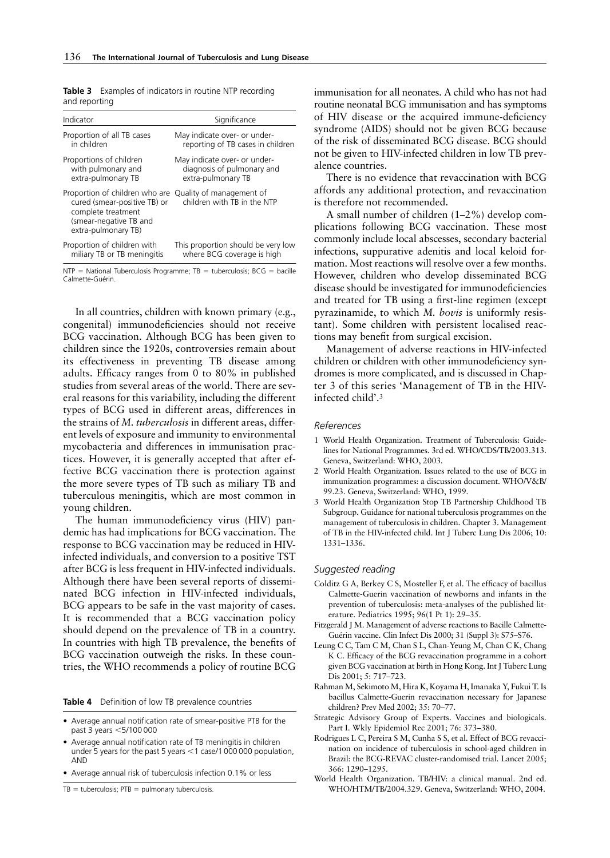|               | <b>Table 3</b> Examples of indicators in routine NTP recording |  |
|---------------|----------------------------------------------------------------|--|
| and reporting |                                                                |  |

| Indicator                                                                                                                                                      | Significance                       |
|----------------------------------------------------------------------------------------------------------------------------------------------------------------|------------------------------------|
| Proportion of all TB cases                                                                                                                                     | May indicate over- or under-       |
| in children                                                                                                                                                    | reporting of TB cases in children  |
| Proportions of children                                                                                                                                        | May indicate over- or under-       |
| with pulmonary and                                                                                                                                             | diagnosis of pulmonary and         |
| extra-pulmonary TB                                                                                                                                             | extra-pulmonary TB                 |
| Proportion of children who are Quality of management of<br>cured (smear-positive TB) or<br>complete treatment<br>(smear-negative TB and<br>extra-pulmonary TB) | children with TB in the NTP        |
| Proportion of children with                                                                                                                                    | This proportion should be very low |
| miliary TB or TB meningitis                                                                                                                                    | where BCG coverage is high         |

 $NTP = National Tuberculosis Programme; TB = tuberculosis; BCG = bacille$ Calmette-Guérin.

In all countries, children with known primary (e.g., congenital) immunodeficiencies should not receive BCG vaccination. Although BCG has been given to children since the 1920s, controversies remain about its effectiveness in preventing TB disease among adults. Efficacy ranges from 0 to 80% in published studies from several areas of the world. There are several reasons for this variability, including the different types of BCG used in different areas, differences in the strains of *M. tuberculosis* in different areas, different levels of exposure and immunity to environmental mycobacteria and differences in immunisation practices. However, it is generally accepted that after effective BCG vaccination there is protection against the more severe types of TB such as miliary TB and tuberculous meningitis, which are most common in young children.

The human immunodeficiency virus (HIV) pandemic has had implications for BCG vaccination. The response to BCG vaccination may be reduced in HIVinfected individuals, and conversion to a positive TST after BCG is less frequent in HIV-infected individuals. Although there have been several reports of disseminated BCG infection in HIV-infected individuals, BCG appears to be safe in the vast majority of cases. It is recommended that a BCG vaccination policy should depend on the prevalence of TB in a country. In countries with high TB prevalence, the benefits of BCG vaccination outweigh the risks. In these countries, the WHO recommends a policy of routine BCG

**Table 4** Definition of low TB prevalence countries

- Average annual notification rate of smear-positive PTB for the past 3 years <5/100 000
- Average annual notification rate of TB meningitis in children under 5 years for the past 5 years  $<$  1 case/1 000 000 population, AND
- Average annual risk of tuberculosis infection 0.1% or less

 $TB =$  tuberculosis;  $PTB =$  pulmonary tuberculosis.

immunisation for all neonates. A child who has not had routine neonatal BCG immunisation and has symptoms of HIV disease or the acquired immune-deficiency syndrome (AIDS) should not be given BCG because of the risk of disseminated BCG disease. BCG should not be given to HIV-infected children in low TB prevalence countries.

There is no evidence that revaccination with BCG affords any additional protection, and revaccination is therefore not recommended.

A small number of children (1–2%) develop complications following BCG vaccination. These most commonly include local abscesses, secondary bacterial infections, suppurative adenitis and local keloid formation. Most reactions will resolve over a few months. However, children who develop disseminated BCG disease should be investigated for immunodeficiencies and treated for TB using a first-line regimen (except pyrazinamide, to which *M. bovis* is uniformly resistant). Some children with persistent localised reactions may benefit from surgical excision.

Management of adverse reactions in HIV-infected children or children with other immunodeficiency syndromes is more complicated, and is discussed in Chapter 3 of this series 'Management of TB in the HIVinfected child'.3

#### *References*

- 1 World Health Organization. Treatment of Tuberculosis: Guidelines for National Programmes. 3rd ed. WHO/CDS/TB/2003.313. Geneva, Switzerland: WHO, 2003.
- 2 World Health Organization. Issues related to the use of BCG in immunization programmes: a discussion document. WHO/V&B/ 99.23. Geneva, Switzerland: WHO, 1999.
- 3 World Health Organization Stop TB Partnership Childhood TB Subgroup. Guidance for national tuberculosis programmes on the management of tuberculosis in children. Chapter 3. Management of TB in the HIV-infected child. Int J Tuberc Lung Dis 2006; 10: 1331–1336.

#### *Suggested reading*

- Colditz G A, Berkey C S, Mosteller F, et al. The efficacy of bacillus Calmette-Guerin vaccination of newborns and infants in the prevention of tuberculosis: meta-analyses of the published literature. Pediatrics 1995; 96(1 Pt 1): 29–35.
- Fitzgerald J M. Management of adverse reactions to Bacille Calmette-Guérin vaccine. Clin Infect Dis 2000; 31 (Suppl 3): S75–S76.
- Leung C C, Tam C M, Chan S L, Chan-Yeung M, Chan C K, Chang K C. Efficacy of the BCG revaccination programme in a cohort given BCG vaccination at birth in Hong Kong. Int J Tuberc Lung Dis 2001; 5: 717–723.
- Rahman M, Sekimoto M, Hira K, Koyama H, Imanaka Y, Fukui T. Is bacillus Calmette-Guerin revaccination necessary for Japanese children? Prev Med 2002; 35: 70–77.
- Strategic Advisory Group of Experts. Vaccines and biologicals. Part I. Wkly Epidemiol Rec 2001; 76: 373–380.
- Rodrigues L C, Pereira S M, Cunha S S, et al. Effect of BCG revaccination on incidence of tuberculosis in school-aged children in Brazil: the BCG-REVAC cluster-randomised trial. Lancet 2005; 366: 1290–1295.
- World Health Organization. TB/HIV: a clinical manual. 2nd ed. WHO/HTM/TB/2004.329. Geneva, Switzerland: WHO, 2004.